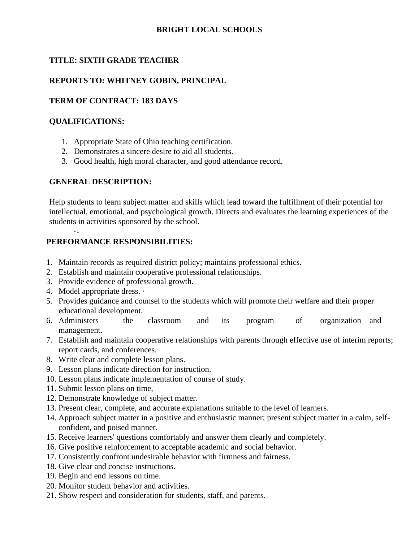## **BRIGHT LOCAL SCHOOLS**

## **TITLE: SIXTH GRADE TEACHER**

## **REPORTS TO: WHITNEY GOBIN, PRINCIPAL**

## **TERM OF CONTRACT: 183 DAYS**

### **QUALIFICATIONS:**

- 1. Appropriate State of Ohio teaching certification.
- 2. Demonstrates a sincere desire to aid all students.
- 3. Good health, high moral character, and good attendance record.

#### **GENERAL DESCRIPTION:**

Help students to learn subject matter and skills which lead toward the fulfillment of their potential for intellectual, emotional, and psychological growth. Directs and evaluates the learning experiences of the students in activities sponsored by the school.

## **PERFORMANCE RESPONSIBILITIES:**

- 1. Maintain records as required district policy; maintains professional ethics.
- 2. Establish and maintain cooperative professional relationships.
- 3. Provide evidence of professional growth.
- 4. Model appropriate dress. ·

·-

- 5. Provides guidance and counsel to the students which will promote their welfare and their proper educational development.
- 6. Administers the classroom and its program of organization and management.
- 7. Establish and maintain cooperative relationships with parents through effective use of interim reports; report cards, and conferences.
- 8. Write clear and complete lesson plans.
- 9. Lesson plans indicate direction for instruction.
- 10. Lesson plans indicate implementation of course of study.
- 11. Submit lesson plans on time,
- 12. Demonstrate knowledge of subject matter.
- 13. Present clear, complete, and accurate explanations suitable to the level of learners.
- 14. Approach subject matter in a positive and enthusiastic manner; present subject matter in a calm, selfconfident, and poised manner.
- 15. Receive learners' questions comfortably and answer them clearly and completely.
- 16. Give positive reinforcement to acceptable academic and social behavior.
- 17. Consistently confront undesirable behavior with firmness and fairness.
- 18. Give clear and concise instructions.
- 19. Begin and end lessons on time.
- 20. Monitor student behavior and activities.
- 21. Show respect and consideration for students, staff, and parents.